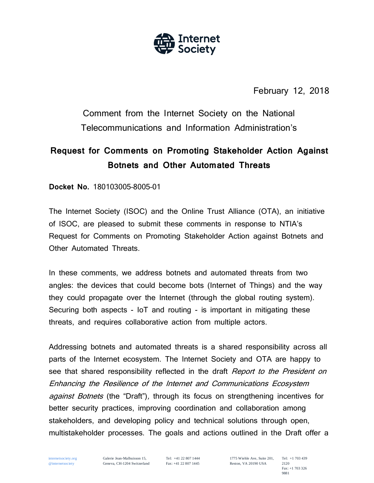

February 12, 2018

Comment from the Internet Society on the National Telecommunications and Information Administration's

# **Request for Comments on Promoting Stakeholder Action Against Botnets and Other Automated Threats**

**Docket No.** 180103005–8005–01

The Internet Society (ISOC) and the Online Trust Alliance (OTA), an initiative of ISOC, are pleased to submit these comments in response to NTIA's Request for Comments on Promoting Stakeholder Action against Botnets and Other Automated Threats.

In these comments, we address botnets and automated threats from two angles: the devices that could become bots (Internet of Things) and the way they could propagate over the Internet (through the global routing system). Securing both aspects - IoT and routing - is important in mitigating these threats, and requires collaborative action from multiple actors.

Addressing botnets and automated threats is a shared responsibility across all parts of the Internet ecosystem. The Internet Society and OTA are happy to see that shared responsibility reflected in the draft *Report to the President on* Enhancing the Resilience of the Internet and Communications Ecosystem **against Botnets** (the "Draft"), through its focus on strengthening incentives for better security practices, improving coordination and collaboration among stakeholders, and developing policy and technical solutions through open, multistakeholder processes. The goals and actions outlined in the Draft offer a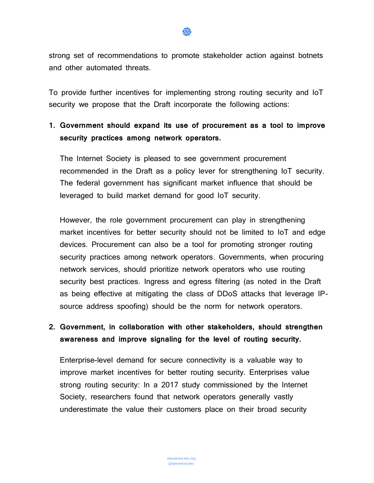strong set of recommendations to promote stakeholder action against botnets and other automated threats.

To provide further incentives for implementing strong routing security and IoT security we propose that the Draft incorporate the following actions:

#### **1. Government should expand its use of procurement as a tool to improve security practices among network operators.**

The Internet Society is pleased to see government procurement recommended in the Draft as a policy lever for strengthening IoT security. The federal government has significant market influence that should be leveraged to build market demand for good IoT security.

However, the role government procurement can play in strengthening market incentives for better security should not be limited to IoT and edge devices. Procurement can also be a tool for promoting stronger routing security practices among network operators. Governments, when procuring network services, should prioritize network operators who use routing security best practices. Ingress and egress filtering (as noted in the Draft as being effective at mitigating the class of DDoS attacks that leverage IPsource address spoofing) should be the norm for network operators.

### **2. Government, in collaboration with other stakeholders, should strengthen awareness and improve signaling for the level of routing security.**

Enterprise-level demand for secure connectivity is a valuable way to improve market incentives for better routing security. Enterprises value strong routing security: In a 2017 study commissioned by the Internet Society, researchers found that network operators generally vastly underestimate the value their customers place on their broad security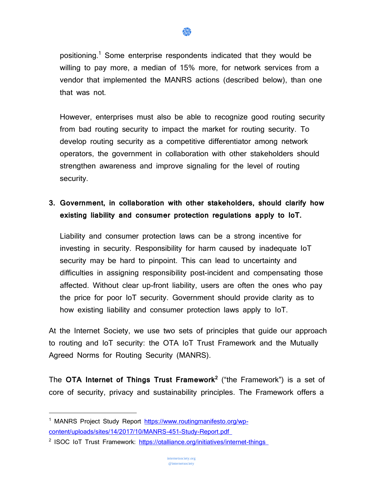

positioning.<sup>1</sup> Some enterprise respondents indicated that they would be willing to pay more, a median of 15% more, for network services from a vendor that implemented the MANRS actions (described below), than one that was not.

However, enterprises must also be able to recognize good routing security from bad routing security to impact the market for routing security. To develop routing security as a competitive differentiator among network operators, the government in collaboration with other stakeholders should strengthen awareness and improve signaling for the level of routing security.

## **3. Government, in collaboration with other stakeholders, should clarify how existing liability and consumer protection regulations apply to IoT.**

Liability and consumer protection laws can be a strong incentive for investing in security. Responsibility for harm caused by inadequate IoT security may be hard to pinpoint. This can lead to uncertainty and difficulties in assigning responsibility post-incident and compensating those affected. Without clear up-front liability, users are often the ones who pay the price for poor IoT security. Government should provide clarity as to how existing liability and consumer protection laws apply to IoT.

At the Internet Society, we use two sets of principles that guide our approach to routing and IoT security: the OTA IoT Trust Framework and the Mutually Agreed Norms for Routing Security (MANRS).

The **OTA Internet of Things Trust Framework<sup>2</sup>** ("the Framework") is a set of core of security, privacy and sustainability principles. The Framework offers a

 $\overline{a}$ 

<sup>&</sup>lt;sup>1</sup> MANRS Project Study Report [https://www.routingmanifesto.org/wp](https://www.routingmanifesto.org/wp-content/uploads/sites/14/2017/10/MANRS-451-Study-Report.pdf)[content/uploads/sites/14/2017/10/MANRS-451-Study-Report.pdf](https://www.routingmanifesto.org/wp-content/uploads/sites/14/2017/10/MANRS-451-Study-Report.pdf)

<sup>&</sup>lt;sup>2</sup> ISOC IoT Trust Framework:<https://otalliance.org/initiatives/internet-things>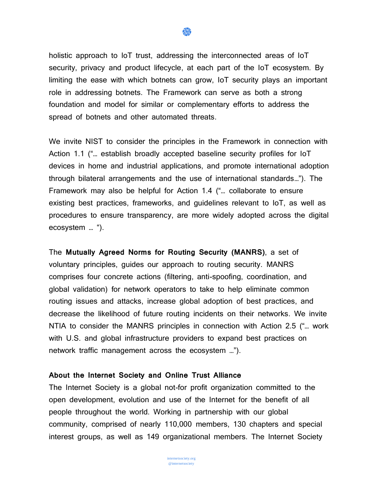holistic approach to IoT trust, addressing the interconnected areas of IoT security, privacy and product lifecycle, at each part of the IoT ecosystem. By limiting the ease with which botnets can grow, IoT security plays an important role in addressing botnets. The Framework can serve as both a strong foundation and model for similar or complementary efforts to address the spread of botnets and other automated threats.

盘

We invite NIST to consider the principles in the Framework in connection with Action 1.1 ("… establish broadly accepted baseline security profiles for IoT devices in home and industrial applications, and promote international adoption through bilateral arrangements and the use of international standards…"). The Framework may also be helpful for Action 1.4 ("… collaborate to ensure existing best practices, frameworks, and guidelines relevant to IoT, as well as procedures to ensure transparency, are more widely adopted across the digital ecosystem … ").

The **Mutually Agreed Norms for Routing Security (MANRS)**, a set of voluntary principles, guides our approach to routing security. MANRS comprises four concrete actions (filtering, anti-spoofing, coordination, and global validation) for network operators to take to help eliminate common routing issues and attacks, increase global adoption of best practices, and decrease the likelihood of future routing incidents on their networks. We invite NTIA to consider the MANRS principles in connection with Action 2.5 ("… work with U.S. and global infrastructure providers to expand best practices on network traffic management across the ecosystem …").

#### **About the Internet Society and Online Trust Alliance**

The Internet Society is a global not-for profit organization committed to the open development, evolution and use of the Internet for the benefit of all people throughout the world. Working in partnership with our global community, comprised of nearly 110,000 members, 130 chapters and special interest groups, as well as 149 organizational members. The Internet Society